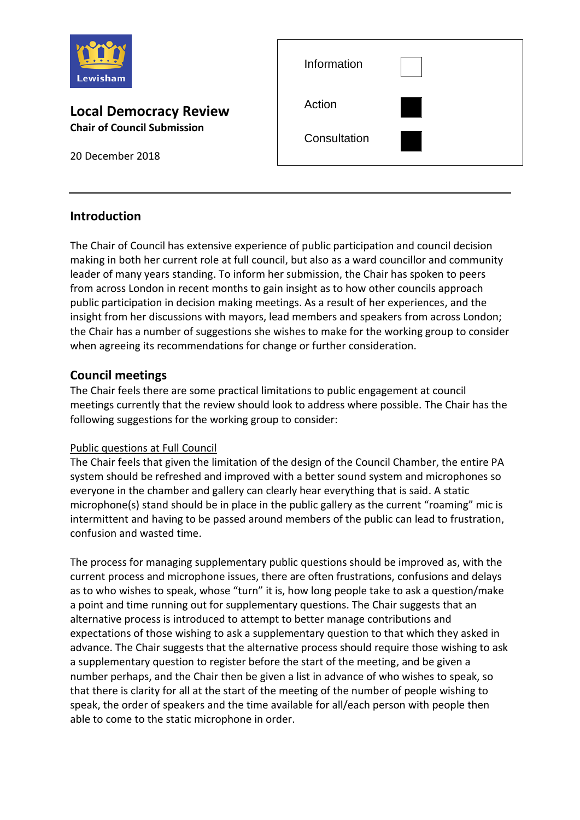

### **Local Democracy Review Chair of Council Submission**

20 December 2018

| Information  |  |
|--------------|--|
| Action       |  |
| Consultation |  |

# **Introduction**

The Chair of Council has extensive experience of public participation and council decision making in both her current role at full council, but also as a ward councillor and community leader of many years standing. To inform her submission, the Chair has spoken to peers from across London in recent months to gain insight as to how other councils approach public participation in decision making meetings. As a result of her experiences, and the insight from her discussions with mayors, lead members and speakers from across London; the Chair has a number of suggestions she wishes to make for the working group to consider when agreeing its recommendations for change or further consideration.

# **Council meetings**

The Chair feels there are some practical limitations to public engagement at council meetings currently that the review should look to address where possible. The Chair has the following suggestions for the working group to consider:

#### Public questions at Full Council

The Chair feels that given the limitation of the design of the Council Chamber, the entire PA system should be refreshed and improved with a better sound system and microphones so everyone in the chamber and gallery can clearly hear everything that is said. A static microphone(s) stand should be in place in the public gallery as the current "roaming" mic is intermittent and having to be passed around members of the public can lead to frustration, confusion and wasted time.

The process for managing supplementary public questions should be improved as, with the current process and microphone issues, there are often frustrations, confusions and delays as to who wishes to speak, whose "turn" it is, how long people take to ask a question/make a point and time running out for supplementary questions. The Chair suggests that an alternative process is introduced to attempt to better manage contributions and expectations of those wishing to ask a supplementary question to that which they asked in advance. The Chair suggests that the alternative process should require those wishing to ask a supplementary question to register before the start of the meeting, and be given a number perhaps, and the Chair then be given a list in advance of who wishes to speak, so that there is clarity for all at the start of the meeting of the number of people wishing to speak, the order of speakers and the time available for all/each person with people then able to come to the static microphone in order.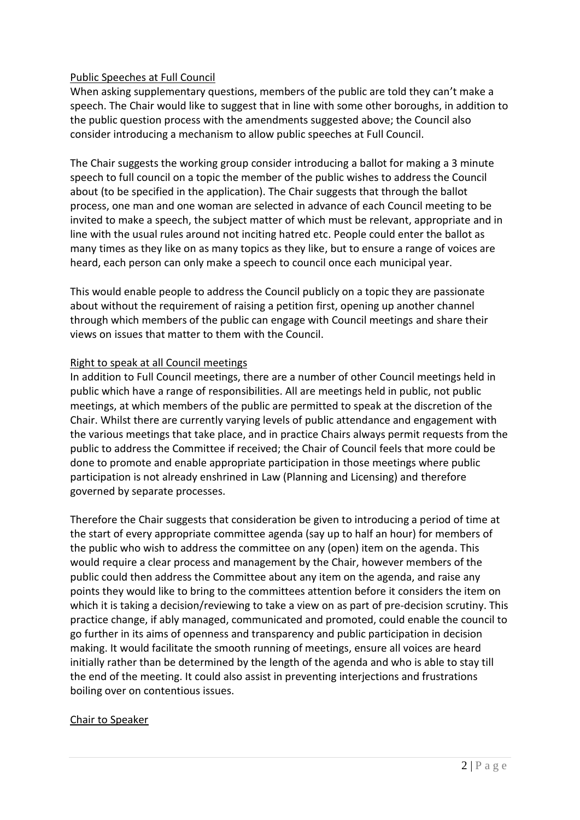#### Public Speeches at Full Council

When asking supplementary questions, members of the public are told they can't make a speech. The Chair would like to suggest that in line with some other boroughs, in addition to the public question process with the amendments suggested above; the Council also consider introducing a mechanism to allow public speeches at Full Council.

The Chair suggests the working group consider introducing a ballot for making a 3 minute speech to full council on a topic the member of the public wishes to address the Council about (to be specified in the application). The Chair suggests that through the ballot process, one man and one woman are selected in advance of each Council meeting to be invited to make a speech, the subject matter of which must be relevant, appropriate and in line with the usual rules around not inciting hatred etc. People could enter the ballot as many times as they like on as many topics as they like, but to ensure a range of voices are heard, each person can only make a speech to council once each municipal year.

This would enable people to address the Council publicly on a topic they are passionate about without the requirement of raising a petition first, opening up another channel through which members of the public can engage with Council meetings and share their views on issues that matter to them with the Council.

#### Right to speak at all Council meetings

In addition to Full Council meetings, there are a number of other Council meetings held in public which have a range of responsibilities. All are meetings held in public, not public meetings, at which members of the public are permitted to speak at the discretion of the Chair. Whilst there are currently varying levels of public attendance and engagement with the various meetings that take place, and in practice Chairs always permit requests from the public to address the Committee if received; the Chair of Council feels that more could be done to promote and enable appropriate participation in those meetings where public participation is not already enshrined in Law (Planning and Licensing) and therefore governed by separate processes.

Therefore the Chair suggests that consideration be given to introducing a period of time at the start of every appropriate committee agenda (say up to half an hour) for members of the public who wish to address the committee on any (open) item on the agenda. This would require a clear process and management by the Chair, however members of the public could then address the Committee about any item on the agenda, and raise any points they would like to bring to the committees attention before it considers the item on which it is taking a decision/reviewing to take a view on as part of pre-decision scrutiny. This practice change, if ably managed, communicated and promoted, could enable the council to go further in its aims of openness and transparency and public participation in decision making. It would facilitate the smooth running of meetings, ensure all voices are heard initially rather than be determined by the length of the agenda and who is able to stay till the end of the meeting. It could also assist in preventing interjections and frustrations boiling over on contentious issues.

#### Chair to Speaker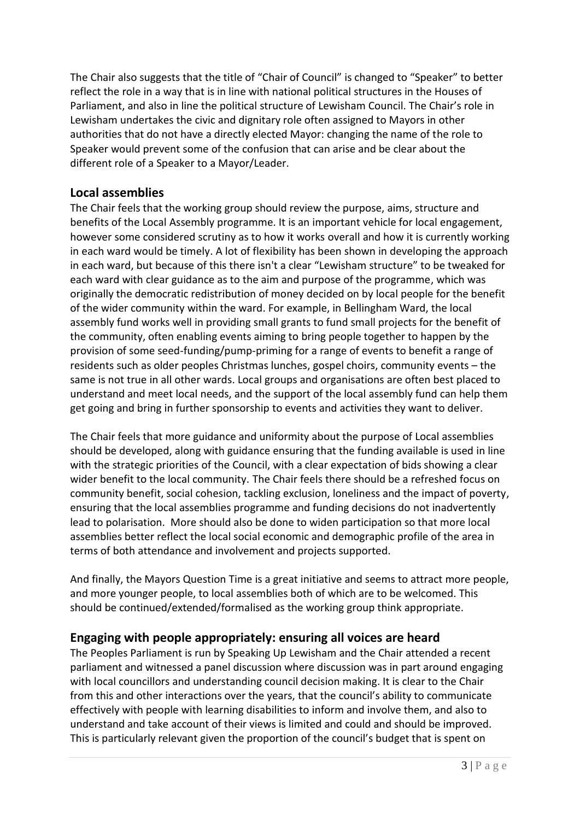The Chair also suggests that the title of "Chair of Council" is changed to "Speaker" to better reflect the role in a way that is in line with national political structures in the Houses of Parliament, and also in line the political structure of Lewisham Council. The Chair's role in Lewisham undertakes the civic and dignitary role often assigned to Mayors in other authorities that do not have a directly elected Mayor: changing the name of the role to Speaker would prevent some of the confusion that can arise and be clear about the different role of a Speaker to a Mayor/Leader.

## **Local assemblies**

The Chair feels that the working group should review the purpose, aims, structure and benefits of the Local Assembly programme. It is an important vehicle for local engagement, however some considered scrutiny as to how it works overall and how it is currently working in each ward would be timely. A lot of flexibility has been shown in developing the approach in each ward, but because of this there isn't a clear "Lewisham structure" to be tweaked for each ward with clear guidance as to the aim and purpose of the programme, which was originally the democratic redistribution of money decided on by local people for the benefit of the wider community within the ward. For example, in Bellingham Ward, the local assembly fund works well in providing small grants to fund small projects for the benefit of the community, often enabling events aiming to bring people together to happen by the provision of some seed-funding/pump-priming for a range of events to benefit a range of residents such as older peoples Christmas lunches, gospel choirs, community events – the same is not true in all other wards. Local groups and organisations are often best placed to understand and meet local needs, and the support of the local assembly fund can help them get going and bring in further sponsorship to events and activities they want to deliver.

The Chair feels that more guidance and uniformity about the purpose of Local assemblies should be developed, along with guidance ensuring that the funding available is used in line with the strategic priorities of the Council, with a clear expectation of bids showing a clear wider benefit to the local community. The Chair feels there should be a refreshed focus on community benefit, social cohesion, tackling exclusion, loneliness and the impact of poverty, ensuring that the local assemblies programme and funding decisions do not inadvertently lead to polarisation. More should also be done to widen participation so that more local assemblies better reflect the local social economic and demographic profile of the area in terms of both attendance and involvement and projects supported.

And finally, the Mayors Question Time is a great initiative and seems to attract more people, and more younger people, to local assemblies both of which are to be welcomed. This should be continued/extended/formalised as the working group think appropriate.

### **Engaging with people appropriately: ensuring all voices are heard**

The Peoples Parliament is run by Speaking Up Lewisham and the Chair attended a recent parliament and witnessed a panel discussion where discussion was in part around engaging with local councillors and understanding council decision making. It is clear to the Chair from this and other interactions over the years, that the council's ability to communicate effectively with people with learning disabilities to inform and involve them, and also to understand and take account of their views is limited and could and should be improved. This is particularly relevant given the proportion of the council's budget that is spent on